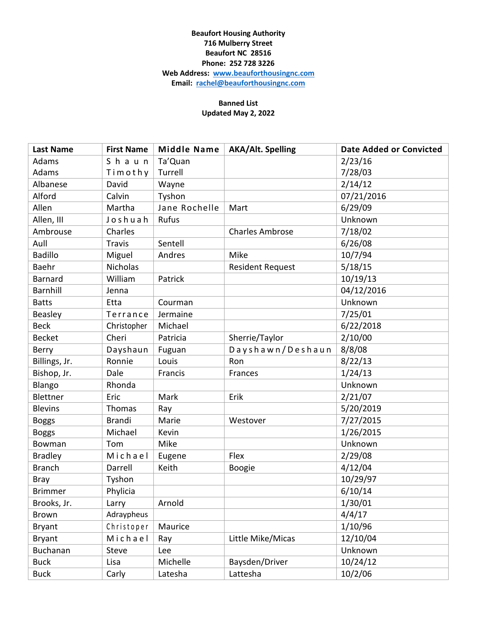## **Beaufort Housing Authority 716 Mulberry Street Beaufort NC 28516 Phone: 252 728 3226 Web Address: [www.beauforthousingnc.com](http://www.beauforthousingnc.com/) Email: [rachel@beauforthousingnc.com](mailto:rachel@beauforthousingnc.com)**

## **Banned List Updated May 2, 2022**

| <b>Last Name</b> | <b>First Name</b> | <b>Middle Name</b> | <b>AKA/Alt. Spelling</b> | <b>Date Added or Convicted</b> |
|------------------|-------------------|--------------------|--------------------------|--------------------------------|
| Adams            | Shaun             | Ta'Quan            |                          | 2/23/16                        |
| Adams            | Timothy           | Turrell            |                          | 7/28/03                        |
| Albanese         | David             | Wayne              |                          | 2/14/12                        |
| Alford           | Calvin            | Tyshon             |                          | 07/21/2016                     |
| Allen            | Martha            | Jane Rochelle      | Mart                     | 6/29/09                        |
| Allen, III       | Joshuah           | Rufus              |                          | Unknown                        |
| Ambrouse         | Charles           |                    | <b>Charles Ambrose</b>   | 7/18/02                        |
| Aull             | <b>Travis</b>     | Sentell            |                          | 6/26/08                        |
| <b>Badillo</b>   | Miguel            | Andres             | Mike                     | 10/7/94                        |
| Baehr            | <b>Nicholas</b>   |                    | <b>Resident Request</b>  | 5/18/15                        |
| Barnard          | William           | Patrick            |                          | 10/19/13                       |
| <b>Barnhill</b>  | Jenna             |                    |                          | 04/12/2016                     |
| <b>Batts</b>     | Etta              | Courman            |                          | Unknown                        |
| <b>Beasley</b>   | Terrance          | Jermaine           |                          | 7/25/01                        |
| <b>Beck</b>      | Christopher       | Michael            |                          | 6/22/2018                      |
| <b>Becket</b>    | Cheri             | Patricia           | Sherrie/Taylor           | 2/10/00                        |
| Berry            | Dayshaun          | Fuguan             | Dayshawn/Deshaun         | 8/8/08                         |
| Billings, Jr.    | Ronnie            | Louis              | Ron                      | 8/22/13                        |
| Bishop, Jr.      | Dale              | Francis            | Frances                  | 1/24/13                        |
| Blango           | Rhonda            |                    |                          | Unknown                        |
| Blettner         | Eric              | Mark               | Erik                     | 2/21/07                        |
| <b>Blevins</b>   | Thomas            | Ray                |                          | 5/20/2019                      |
| <b>Boggs</b>     | <b>Brandi</b>     | Marie              | Westover                 | 7/27/2015                      |
| <b>Boggs</b>     | Michael           | Kevin              |                          | 1/26/2015                      |
| Bowman           | Tom               | Mike               |                          | Unknown                        |
| <b>Bradley</b>   | Michael           | Eugene             | Flex                     | 2/29/08                        |
| <b>Branch</b>    | Darrell           | Keith              | Boogie                   | 4/12/04                        |
| <b>Bray</b>      | Tyshon            |                    |                          | 10/29/97                       |
| <b>Brimmer</b>   | Phylicia          |                    |                          | 6/10/14                        |
| Brooks, Jr.      | Larry             | Arnold             |                          | 1/30/01                        |
| <b>Brown</b>     | Adraypheus        |                    |                          | 4/4/17                         |
| <b>Bryant</b>    | Christoper        | Maurice            |                          | 1/10/96                        |
| <b>Bryant</b>    | Michael           | Ray                | Little Mike/Micas        | 12/10/04                       |
| Buchanan         | Steve             | Lee                |                          | Unknown                        |
| <b>Buck</b>      | Lisa              | Michelle           | Baysden/Driver           | 10/24/12                       |
| <b>Buck</b>      | Carly             | Latesha            | Lattesha                 | 10/2/06                        |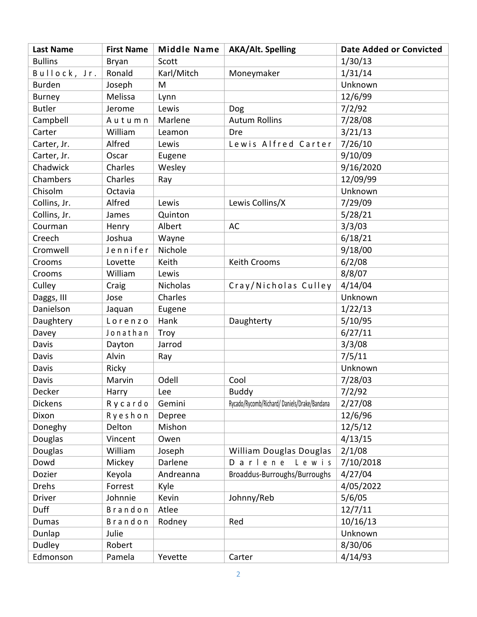| <b>Last Name</b> | <b>First Name</b> | <b>Middle Name</b> | <b>AKA/Alt. Spelling</b>                    | <b>Date Added or Convicted</b> |
|------------------|-------------------|--------------------|---------------------------------------------|--------------------------------|
| <b>Bullins</b>   | Bryan             | Scott              |                                             | 1/30/13                        |
| Bullock, Jr.     | Ronald            | Karl/Mitch         | Moneymaker                                  | 1/31/14                        |
| <b>Burden</b>    | Joseph            | M                  |                                             | Unknown                        |
| <b>Burney</b>    | Melissa           | Lynn               |                                             | 12/6/99                        |
| <b>Butler</b>    | Jerome            | Lewis              | Dog                                         | 7/2/92                         |
| Campbell         | Autumn            | Marlene            | <b>Autum Rollins</b>                        | 7/28/08                        |
| Carter           | William           | Leamon             | Dre                                         | 3/21/13                        |
| Carter, Jr.      | Alfred            | Lewis              | Lewis Alfred Carter                         | 7/26/10                        |
| Carter, Jr.      | Oscar             | Eugene             |                                             | 9/10/09                        |
| Chadwick         | Charles           | Wesley             |                                             | 9/16/2020                      |
| Chambers         | Charles           | Ray                |                                             | 12/09/99                       |
| Chisolm          | Octavia           |                    |                                             | Unknown                        |
| Collins, Jr.     | Alfred            | Lewis              | Lewis Collins/X                             | 7/29/09                        |
| Collins, Jr.     | James             | Quinton            |                                             | 5/28/21                        |
| Courman          | Henry             | Albert             | <b>AC</b>                                   | 3/3/03                         |
| Creech           | Joshua            | Wayne              |                                             | 6/18/21                        |
| Cromwell         | Jennifer          | Nichole            |                                             | 9/18/00                        |
| Crooms           | Lovette           | Keith              | Keith Crooms                                | 6/2/08                         |
| Crooms           | William           | Lewis              |                                             | 8/8/07                         |
| Culley           | Craig             | Nicholas           | Cray/Nicholas Culley                        | 4/14/04                        |
| Daggs, III       | Jose              | Charles            |                                             | Unknown                        |
| Danielson        | Jaquan            | Eugene             |                                             | 1/22/13                        |
| Daughtery        | Lorenzo           | Hank               | Daughterty                                  | 5/10/95                        |
| Davey            | Jonathan          | Troy               |                                             | 6/27/11                        |
| Davis            | Dayton            | Jarrod             |                                             | 3/3/08                         |
| Davis            | Alvin             | Ray                |                                             | 7/5/11                         |
| Davis            | Ricky             |                    |                                             | Unknown                        |
| Davis            | Marvin            | Odell              | Cool                                        | 7/28/03                        |
| Decker           | Harry             | Lee                | Buddy                                       | 7/2/92                         |
| <b>Dickens</b>   | Rycardo           | Gemini             | Rycado/Rycomb/Richard/Daniels/Drake/Bandana | 2/27/08                        |
| Dixon            | Ryeshon           | Depree             |                                             | 12/6/96                        |
| Doneghy          | Delton            | Mishon             |                                             | 12/5/12                        |
| Douglas          | Vincent           | Owen               |                                             | 4/13/15                        |
| Douglas          | William           | Joseph             | William Douglas Douglas                     | 2/1/08                         |
| Dowd             | Mickey            | Darlene            | Darlene<br>Lewis                            | 7/10/2018                      |
| Dozier           | Keyola            | Andreanna          | Broaddus-Burroughs/Burroughs                | 4/27/04                        |
| <b>Drehs</b>     | Forrest           | Kyle               |                                             | 4/05/2022                      |
| <b>Driver</b>    | Johnnie           | Kevin              | Johnny/Reb                                  | 5/6/05                         |
| Duff             | Brandon           | Atlee              |                                             | 12/7/11                        |
| <b>Dumas</b>     | Brandon           | Rodney             | Red                                         | 10/16/13                       |
| Dunlap           | Julie             |                    |                                             | Unknown                        |
| Dudley           | Robert            |                    |                                             | 8/30/06                        |
| Edmonson         | Pamela            | Yevette            | Carter                                      | 4/14/93                        |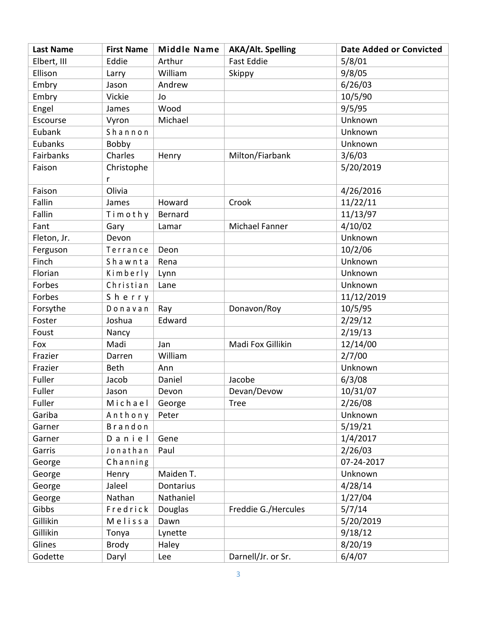| <b>Last Name</b> | <b>First Name</b> | <b>Middle Name</b> | <b>AKA/Alt. Spelling</b> | <b>Date Added or Convicted</b> |
|------------------|-------------------|--------------------|--------------------------|--------------------------------|
| Elbert, III      | Eddie             | Arthur             | <b>Fast Eddie</b>        | 5/8/01                         |
| Ellison          | Larry             | William            | Skippy                   | 9/8/05                         |
| Embry            | Jason             | Andrew             |                          | 6/26/03                        |
| Embry            | Vickie            | Jo                 |                          | 10/5/90                        |
| Engel            | James             | Wood               |                          | 9/5/95                         |
| Escourse         | Vyron             | Michael            |                          | Unknown                        |
| Eubank           | Shannon           |                    |                          | Unknown                        |
| Eubanks          | Bobby             |                    |                          | Unknown                        |
| Fairbanks        | Charles           | Henry              | Milton/Fiarbank          | 3/6/03                         |
| Faison           | Christophe        |                    |                          | 5/20/2019                      |
|                  | r                 |                    |                          |                                |
| Faison           | Olivia            |                    |                          | 4/26/2016                      |
| Fallin           | James             | Howard             | Crook                    | 11/22/11                       |
| Fallin           | Timothy           | Bernard            |                          | 11/13/97                       |
| Fant             | Gary              | Lamar              | Michael Fanner           | 4/10/02                        |
| Fleton, Jr.      | Devon             |                    |                          | Unknown                        |
| Ferguson         | Terrance          | Deon               |                          | 10/2/06                        |
| Finch            | Shawnta           | Rena               |                          | Unknown                        |
| Florian          | Kimberly          | Lynn               |                          | Unknown                        |
| Forbes           | Christian         | Lane               |                          | Unknown                        |
| Forbes           | Sherry            |                    |                          | 11/12/2019                     |
| Forsythe         | Donavan           | Ray                | Donavon/Roy              | 10/5/95                        |
| Foster           | Joshua            | Edward             |                          | 2/29/12                        |
| Foust            | Nancy             |                    |                          | 2/19/13                        |
| Fox              | Madi              | Jan                | Madi Fox Gillikin        | 12/14/00                       |
| Frazier          | Darren            | William            |                          | 2/7/00                         |
| Frazier          | <b>Beth</b>       | Ann                |                          | Unknown                        |
| Fuller           | Jacob             | Daniel             | Jacobe                   | 6/3/08                         |
| Fuller           | Jason             | Devon              | Devan/Devow              | 10/31/07                       |
| Fuller           | Michael           | George             | <b>Tree</b>              | 2/26/08                        |
| Gariba           | Anthony           | Peter              |                          | Unknown                        |
| Garner           | Brandon           |                    |                          | 5/19/21                        |
| Garner           | Daniel            | Gene               |                          | 1/4/2017                       |
| Garris           | Jonathan          | Paul               |                          | 2/26/03                        |
| George           | Channing          |                    |                          | 07-24-2017                     |
| George           | Henry             | Maiden T.          |                          | Unknown                        |
| George           | Jaleel            | Dontarius          |                          | 4/28/14                        |
| George           | Nathan            | Nathaniel          |                          | 1/27/04                        |
| Gibbs            | Fredrick          | Douglas            | Freddie G./Hercules      | 5/7/14                         |
| Gillikin         | Melissa           | Dawn               |                          | 5/20/2019                      |
| Gillikin         | Tonya             | Lynette            |                          | 9/18/12                        |
| Glines           | <b>Brody</b>      | Haley              |                          | 8/20/19                        |
| Godette          | Daryl             | Lee                | Darnell/Jr. or Sr.       | 6/4/07                         |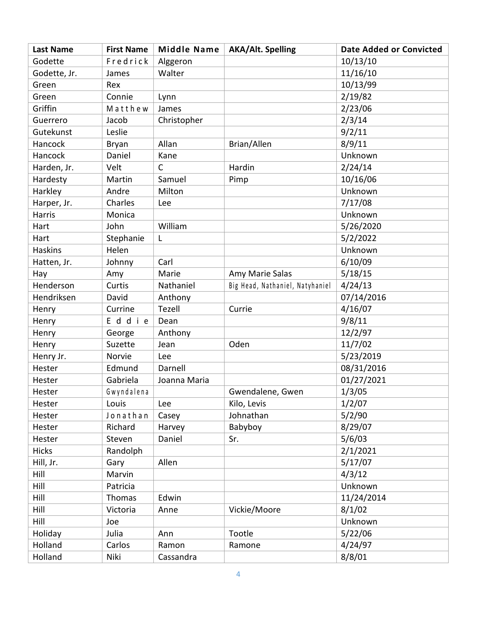| <b>Last Name</b> | <b>First Name</b> | <b>Middle Name</b> | <b>AKA/Alt. Spelling</b>        | <b>Date Added or Convicted</b> |
|------------------|-------------------|--------------------|---------------------------------|--------------------------------|
| Godette          | Fredrick          | Alggeron           |                                 | 10/13/10                       |
| Godette, Jr.     | James             | Walter             |                                 | 11/16/10                       |
| Green            | Rex               |                    |                                 | 10/13/99                       |
| Green            | Connie            | Lynn               |                                 | 2/19/82                        |
| Griffin          | Matthew           | James              |                                 | 2/23/06                        |
| Guerrero         | Jacob             | Christopher        |                                 | 2/3/14                         |
| Gutekunst        | Leslie            |                    |                                 | 9/2/11                         |
| Hancock          | Bryan             | Allan              | Brian/Allen                     | 8/9/11                         |
| Hancock          | Daniel            | Kane               |                                 | Unknown                        |
| Harden, Jr.      | Velt              | $\mathsf{C}$       | Hardin                          | 2/24/14                        |
| Hardesty         | Martin            | Samuel             | Pimp                            | 10/16/06                       |
| Harkley          | Andre             | Milton             |                                 | Unknown                        |
| Harper, Jr.      | Charles           | Lee                |                                 | 7/17/08                        |
| Harris           | Monica            |                    |                                 | Unknown                        |
| Hart             | John              | William            |                                 | 5/26/2020                      |
| Hart             | Stephanie         | L                  |                                 | 5/2/2022                       |
| <b>Haskins</b>   | Helen             |                    |                                 | Unknown                        |
| Hatten, Jr.      | Johnny            | Carl               |                                 | 6/10/09                        |
| Hay              | Amy               | Marie              | Amy Marie Salas                 | 5/18/15                        |
| Henderson        | Curtis            | Nathaniel          | Big Head, Nathaniel, Natyhaniel | 4/24/13                        |
| Hendriksen       | David             | Anthony            |                                 | 07/14/2016                     |
| Henry            | Currine           | Tezell             | Currie                          | 4/16/07                        |
| Henry            | Eddie             | Dean               |                                 | 9/8/11                         |
| Henry            | George            | Anthony            |                                 | 12/2/97                        |
| Henry            | Suzette           | Jean               | Oden                            | 11/7/02                        |
| Henry Jr.        | Norvie            | Lee                |                                 | 5/23/2019                      |
| Hester           | Edmund            | Darnell            |                                 | 08/31/2016                     |
| Hester           | Gabriela          | Joanna Maria       |                                 | 01/27/2021                     |
| Hester           | Gwyndalena        |                    | Gwendalene, Gwen                | 1/3/05                         |
| Hester           | Louis             | Lee                | Kilo, Levis                     | 1/2/07                         |
| Hester           | Jonathan          | Casey              | Johnathan                       | 5/2/90                         |
| Hester           | Richard           | Harvey             | Babyboy                         | 8/29/07                        |
| Hester           | Steven            | Daniel             | Sr.                             | 5/6/03                         |
| <b>Hicks</b>     | Randolph          |                    |                                 | 2/1/2021                       |
| Hill, Jr.        | Gary              | Allen              |                                 | 5/17/07                        |
| Hill             | Marvin            |                    |                                 | 4/3/12                         |
| Hill             | Patricia          |                    |                                 | Unknown                        |
| Hill             | Thomas            | Edwin              |                                 | 11/24/2014                     |
| Hill             | Victoria          | Anne               | Vickie/Moore                    | 8/1/02                         |
| Hill             | Joe               |                    |                                 | Unknown                        |
| Holiday          | Julia             | Ann                | Tootle                          | 5/22/06                        |
| Holland          | Carlos            | Ramon              | Ramone                          | 4/24/97                        |
| Holland          | Niki              | Cassandra          |                                 | 8/8/01                         |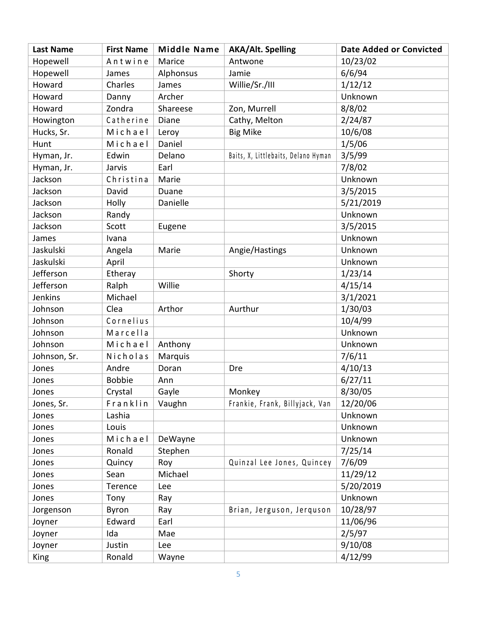| <b>Last Name</b> | <b>First Name</b> | <b>Middle Name</b> | <b>AKA/Alt. Spelling</b>            | <b>Date Added or Convicted</b> |
|------------------|-------------------|--------------------|-------------------------------------|--------------------------------|
| Hopewell         | Antwine           | Marice             | Antwone                             | 10/23/02                       |
| Hopewell         | James             | Alphonsus          | Jamie                               | 6/6/94                         |
| Howard           | Charles           | James              | Willie/Sr./III                      | 1/12/12                        |
| Howard           | Danny             | Archer             |                                     | Unknown                        |
| Howard           | Zondra            | Shareese           | Zon, Murrell                        | 8/8/02                         |
| Howington        | Catherine         | Diane              | Cathy, Melton                       | 2/24/87                        |
| Hucks, Sr.       | Michael           | Leroy              | <b>Big Mike</b>                     | 10/6/08                        |
| Hunt             | Michael           | Daniel             |                                     | 1/5/06                         |
| Hyman, Jr.       | Edwin             | Delano             | Baits, X, Littlebaits, Delano Hyman | 3/5/99                         |
| Hyman, Jr.       | Jarvis            | Earl               |                                     | 7/8/02                         |
| Jackson          | Christina         | Marie              |                                     | Unknown                        |
| Jackson          | David             | Duane              |                                     | 3/5/2015                       |
| Jackson          | Holly             | Danielle           |                                     | 5/21/2019                      |
| Jackson          | Randy             |                    |                                     | Unknown                        |
| Jackson          | Scott             | Eugene             |                                     | 3/5/2015                       |
| James            | Ivana             |                    |                                     | Unknown                        |
| Jaskulski        | Angela            | Marie              | Angie/Hastings                      | Unknown                        |
| Jaskulski        | April             |                    |                                     | Unknown                        |
| Jefferson        | Etheray           |                    | Shorty                              | 1/23/14                        |
| Jefferson        | Ralph             | Willie             |                                     | 4/15/14                        |
| Jenkins          | Michael           |                    |                                     | 3/1/2021                       |
| Johnson          | Clea              | Arthor             | Aurthur                             | 1/30/03                        |
| Johnson          | Cornelius         |                    |                                     | 10/4/99                        |
| Johnson          | Marcella          |                    |                                     | Unknown                        |
| Johnson          | Michael           | Anthony            |                                     | Unknown                        |
| Johnson, Sr.     | Nicholas          | Marquis            |                                     | 7/6/11                         |
| Jones            | Andre             | Doran              | Dre                                 | 4/10/13                        |
| Jones            | <b>Bobbie</b>     | Ann                |                                     | 6/27/11                        |
| Jones            | Crystal           | Gayle              | Monkey                              | 8/30/05                        |
| Jones, Sr.       | Franklin          | Vaughn             | Frankie, Frank, Billyjack, Van      | 12/20/06                       |
| Jones            | Lashia            |                    |                                     | Unknown                        |
| Jones            | Louis             |                    |                                     | Unknown                        |
| Jones            | Michael           | DeWayne            |                                     | Unknown                        |
| Jones            | Ronald            | Stephen            |                                     | 7/25/14                        |
| Jones            | Quincy            | Roy                | Quinzal Lee Jones, Quincey          | 7/6/09                         |
| Jones            | Sean              | Michael            |                                     | 11/29/12                       |
| Jones            | Terence           | Lee                |                                     | 5/20/2019                      |
| Jones            | Tony              | Ray                |                                     | Unknown                        |
| Jorgenson        | Byron             | Ray                | Brian, Jerguson, Jerquson           | 10/28/97                       |
| Joyner           | Edward            | Earl               |                                     | 11/06/96                       |
| Joyner           | Ida               | Mae                |                                     | 2/5/97                         |
| Joyner           | Justin            | Lee                |                                     | 9/10/08                        |
| King             | Ronald            | Wayne              |                                     | 4/12/99                        |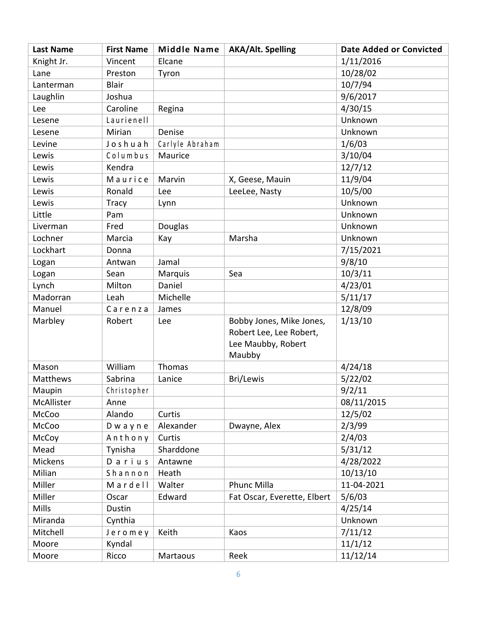| <b>Last Name</b> | <b>First Name</b> | <b>Middle Name</b> | <b>AKA/Alt. Spelling</b>    | <b>Date Added or Convicted</b> |
|------------------|-------------------|--------------------|-----------------------------|--------------------------------|
| Knight Jr.       | Vincent           | Elcane             |                             | 1/11/2016                      |
| Lane             | Preston           | Tyron              |                             | 10/28/02                       |
| Lanterman        | <b>Blair</b>      |                    |                             | 10/7/94                        |
| Laughlin         | Joshua            |                    |                             | 9/6/2017                       |
| Lee              | Caroline          | Regina             |                             | 4/30/15                        |
| Lesene           | Laurienell        |                    |                             | Unknown                        |
| Lesene           | Mirian            | Denise             |                             | Unknown                        |
| Levine           | Joshuah           | Carlyle Abraham    |                             | 1/6/03                         |
| Lewis            | Columbus          | Maurice            |                             | 3/10/04                        |
| Lewis            | Kendra            |                    |                             | 12/7/12                        |
| Lewis            | Maurice           | Marvin             | X, Geese, Mauin             | 11/9/04                        |
| Lewis            | Ronald            | Lee                | LeeLee, Nasty               | 10/5/00                        |
| Lewis            | <b>Tracy</b>      | Lynn               |                             | Unknown                        |
| Little           | Pam               |                    |                             | Unknown                        |
| Liverman         | Fred              | Douglas            |                             | Unknown                        |
| Lochner          | Marcia            | Kay                | Marsha                      | Unknown                        |
| Lockhart         | Donna             |                    |                             | 7/15/2021                      |
| Logan            | Antwan            | Jamal              |                             | 9/8/10                         |
| Logan            | Sean              | Marquis            | Sea                         | 10/3/11                        |
| Lynch            | Milton            | Daniel             |                             | 4/23/01                        |
| Madorran         | Leah              | Michelle           |                             | 5/11/17                        |
| Manuel           | Carenza           | James              |                             | 12/8/09                        |
| Marbley          | Robert            | Lee                | Bobby Jones, Mike Jones,    | 1/13/10                        |
|                  |                   |                    | Robert Lee, Lee Robert,     |                                |
|                  |                   |                    | Lee Maubby, Robert          |                                |
|                  |                   |                    | Maubby                      |                                |
| Mason            | William           | Thomas             |                             | 4/24/18                        |
| <b>Matthews</b>  | Sabrina           | Lanice             | Bri/Lewis                   | 5/22/02                        |
| Maupin           | Christopher       |                    |                             | 9/2/11                         |
| McAllister       | Anne              |                    |                             | 08/11/2015                     |
| McCoo            | Alando            | Curtis             |                             | 12/5/02                        |
| McCoo            | Dwayne            | Alexander          | Dwayne, Alex                | 2/3/99                         |
| McCoy            | Anthony           | Curtis             |                             | 2/4/03                         |
| Mead             | Tynisha           | Sharddone          |                             | 5/31/12                        |
| <b>Mickens</b>   | Darius            | Antawne            |                             | 4/28/2022                      |
| Milian           | Shannon           | Heath              |                             | 10/13/10                       |
| Miller           | Mardell           | Walter             | Phunc Milla                 | 11-04-2021                     |
| Miller           | Oscar             | Edward             | Fat Oscar, Everette, Elbert | 5/6/03                         |
| <b>Mills</b>     | Dustin            |                    |                             | 4/25/14                        |
| Miranda          | Cynthia           |                    |                             | Unknown                        |
| Mitchell         | Jeromey           | Keith              | Kaos                        | 7/11/12                        |
| Moore            | Kyndal            |                    |                             | 11/1/12                        |
| Moore            | Ricco             | Martaous           | Reek                        | 11/12/14                       |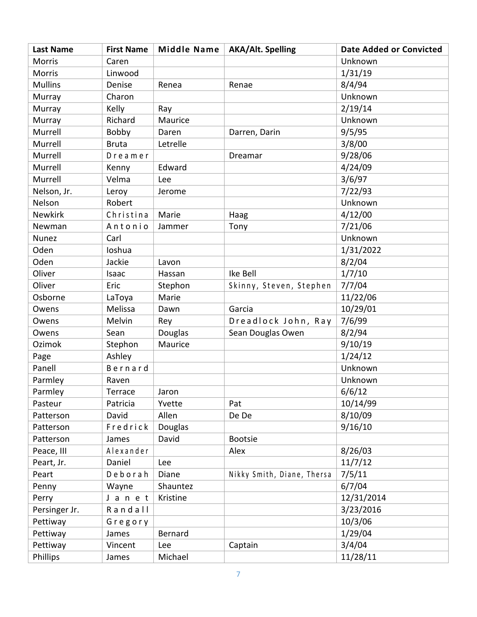| <b>Last Name</b> | <b>First Name</b> | <b>Middle Name</b> | <b>AKA/Alt. Spelling</b>   | <b>Date Added or Convicted</b> |
|------------------|-------------------|--------------------|----------------------------|--------------------------------|
| <b>Morris</b>    | Caren             |                    |                            | Unknown                        |
| <b>Morris</b>    | Linwood           |                    |                            | 1/31/19                        |
| <b>Mullins</b>   | Denise            | Renea              | Renae                      | 8/4/94                         |
| Murray           | Charon            |                    |                            | Unknown                        |
| Murray           | Kelly             | Ray                |                            | 2/19/14                        |
| Murray           | Richard           | Maurice            |                            | Unknown                        |
| Murrell          | Bobby             | Daren              | Darren, Darin              | 9/5/95                         |
| Murrell          | <b>Bruta</b>      | Letrelle           |                            | 3/8/00                         |
| Murrell          | Dreamer           |                    | Dreamar                    | 9/28/06                        |
| Murrell          | Kenny             | Edward             |                            | 4/24/09                        |
| Murrell          | Velma             | Lee                |                            | 3/6/97                         |
| Nelson, Jr.      | Leroy             | Jerome             |                            | 7/22/93                        |
| Nelson           | Robert            |                    |                            | Unknown                        |
| Newkirk          | Christina         | Marie              | Haag                       | 4/12/00                        |
| Newman           | Antonio           | Jammer             | Tony                       | 7/21/06                        |
| Nunez            | Carl              |                    |                            | Unknown                        |
| Oden             | Ioshua            |                    |                            | 1/31/2022                      |
| Oden             | Jackie            | Lavon              |                            | 8/2/04                         |
| Oliver           | Isaac             | Hassan             | Ike Bell                   | 1/7/10                         |
| Oliver           | Eric              | Stephon            | Skinny, Steven, Stephen    | 7/7/04                         |
| Osborne          | LaToya            | Marie              |                            | 11/22/06                       |
| Owens            | Melissa           | Dawn               | Garcia                     | 10/29/01                       |
| Owens            | Melvin            | Rey                | Dreadlock John, Ray        | 7/6/99                         |
| Owens            | Sean              | Douglas            | Sean Douglas Owen          | 8/2/94                         |
| Ozimok           | Stephon           | Maurice            |                            | 9/10/19                        |
| Page             | Ashley            |                    |                            | 1/24/12                        |
| Panell           | Bernard           |                    |                            | Unknown                        |
| Parmley          | Raven             |                    |                            | Unknown                        |
| Parmley          | Terrace           | Jaron              |                            | 6/6/12                         |
| Pasteur          | Patricia          | Yvette             | Pat                        | 10/14/99                       |
| Patterson        | David             | Allen              | De De                      | 8/10/09                        |
| Patterson        | Fredrick          | <b>Douglas</b>     |                            | 9/16/10                        |
| Patterson        | James             | David              | <b>Bootsie</b>             |                                |
| Peace, III       | Alexander         |                    | Alex                       | 8/26/03                        |
| Peart, Jr.       | Daniel            | Lee                |                            | 11/7/12                        |
| Peart            | Deborah           | Diane              | Nikky Smith, Diane, Thersa | 7/5/11                         |
| Penny            | Wayne             | Shauntez           |                            | 6/7/04                         |
| Perry            | J a n e t         | Kristine           |                            | 12/31/2014                     |
| Persinger Jr.    | Randall           |                    |                            | 3/23/2016                      |
| Pettiway         | Gregory           |                    |                            | 10/3/06                        |
| Pettiway         | James             | Bernard            |                            | 1/29/04                        |
| Pettiway         | Vincent           | Lee                | Captain                    | 3/4/04                         |
| Phillips         | James             | Michael            |                            | 11/28/11                       |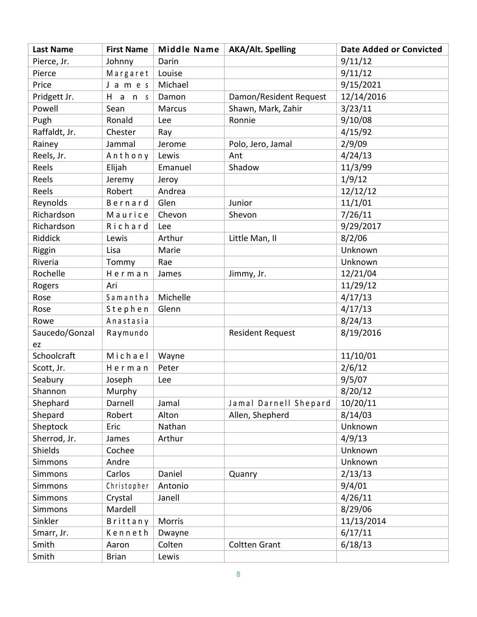| <b>Last Name</b> | <b>First Name</b> | <b>Middle Name</b> | <b>AKA/Alt. Spelling</b> | <b>Date Added or Convicted</b> |
|------------------|-------------------|--------------------|--------------------------|--------------------------------|
| Pierce, Jr.      | Johnny            | Darin              |                          | 9/11/12                        |
| Pierce           | Margaret          | Louise             |                          | 9/11/12                        |
| Price            | J a m e s         | Michael            |                          | 9/15/2021                      |
| Pridgett Jr.     | $H$ ans           | Damon              | Damon/Resident Request   | 12/14/2016                     |
| Powell           | Sean              | <b>Marcus</b>      | Shawn, Mark, Zahir       | 3/23/11                        |
| Pugh             | Ronald            | Lee                | Ronnie                   | 9/10/08                        |
| Raffaldt, Jr.    | Chester           | Ray                |                          | 4/15/92                        |
| Rainey           | Jammal            | Jerome             | Polo, Jero, Jamal        | 2/9/09                         |
| Reels, Jr.       | Anthony           | Lewis              | Ant                      | 4/24/13                        |
| Reels            | Elijah            | Emanuel            | Shadow                   | 11/3/99                        |
| Reels            | Jeremy            | Jeroy              |                          | 1/9/12                         |
| Reels            | Robert            | Andrea             |                          | 12/12/12                       |
| Reynolds         | Bernard           | Glen               | Junior                   | 11/1/01                        |
| Richardson       | Maurice           | Chevon             | Shevon                   | 7/26/11                        |
| Richardson       | Richard           | Lee                |                          | 9/29/2017                      |
| Riddick          | Lewis             | Arthur             | Little Man, II           | 8/2/06                         |
| Riggin           | Lisa              | Marie              |                          | Unknown                        |
| Riveria          | Tommy             | Rae                |                          | Unknown                        |
| Rochelle         | Herman            | James              | Jimmy, Jr.               | 12/21/04                       |
| Rogers           | Ari               |                    |                          | 11/29/12                       |
| Rose             | Samantha          | Michelle           |                          | 4/17/13                        |
| Rose             | Stephen           | Glenn              |                          | 4/17/13                        |
| Rowe             | Anastasia         |                    |                          | 8/24/13                        |
| Saucedo/Gonzal   | Raymundo          |                    | <b>Resident Request</b>  | 8/19/2016                      |
| ez               |                   |                    |                          |                                |
| Schoolcraft      | Michael           | Wayne              |                          | 11/10/01                       |
| Scott, Jr.       | Herman            | Peter              |                          | 2/6/12                         |
| Seabury          | Joseph            | Lee                |                          | 9/5/07                         |
| Shannon          | Murphy            |                    |                          | 8/20/12                        |
| Shephard         | Darnell           | Jamal              | Jamal Darnell Shepard    | 10/20/11                       |
| Shepard          | Robert            | Alton              | Allen, Shepherd          | 8/14/03                        |
| Sheptock         | Eric              | Nathan             |                          | Unknown                        |
| Sherrod, Jr.     | James             | Arthur             |                          | 4/9/13                         |
| Shields          | Cochee            |                    |                          | Unknown                        |
| Simmons          | Andre             |                    |                          | Unknown                        |
| Simmons          | Carlos            | Daniel             | Quanry                   | 2/13/13                        |
| Simmons          | Christopher       | Antonio            |                          | 9/4/01                         |
| <b>Simmons</b>   | Crystal           | Janell             |                          | 4/26/11                        |
| <b>Simmons</b>   | Mardell           |                    |                          | 8/29/06                        |
| Sinkler          | Brittany          | Morris             |                          | 11/13/2014                     |
| Smarr, Jr.       | Kenneth           | Dwayne             |                          | 6/17/11                        |
| Smith            | Aaron             | Colten             | <b>Coltten Grant</b>     | 6/18/13                        |
| Smith            | <b>Brian</b>      | Lewis              |                          |                                |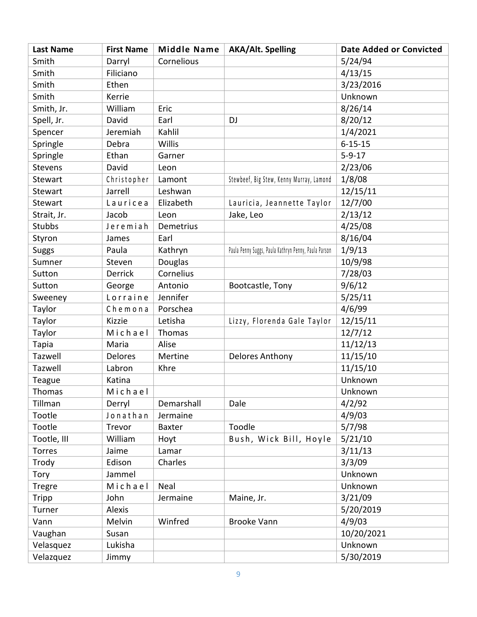| <b>Last Name</b> | <b>First Name</b> | <b>Middle Name</b> | <b>AKA/Alt. Spelling</b>                             | <b>Date Added or Convicted</b> |
|------------------|-------------------|--------------------|------------------------------------------------------|--------------------------------|
| Smith            | Darryl            | Cornelious         |                                                      | 5/24/94                        |
| Smith            | Filiciano         |                    |                                                      | 4/13/15                        |
| Smith            | Ethen             |                    |                                                      | 3/23/2016                      |
| Smith            | Kerrie            |                    |                                                      | Unknown                        |
| Smith, Jr.       | William           | Eric               |                                                      | 8/26/14                        |
| Spell, Jr.       | David             | Earl               | DJ                                                   | 8/20/12                        |
| Spencer          | Jeremiah          | Kahlil             |                                                      | 1/4/2021                       |
| Springle         | Debra             | Willis             |                                                      | $6 - 15 - 15$                  |
| Springle         | Ethan             | Garner             |                                                      | $5 - 9 - 17$                   |
| Stevens          | David             | Leon               |                                                      | 2/23/06                        |
| Stewart          | Christopher       | Lamont             | Stewbeef, Big Stew, Kenny Murray, Lamond             | 1/8/08                         |
| Stewart          | Jarrell           | Leshwan            |                                                      | 12/15/11                       |
| Stewart          | Lauricea          | Elizabeth          | Lauricia, Jeannette Taylor                           | 12/7/00                        |
| Strait, Jr.      | Jacob             | Leon               | Jake, Leo                                            | 2/13/12                        |
| <b>Stubbs</b>    | Jeremiah          | Demetrius          |                                                      | 4/25/08                        |
| Styron           | James             | Earl               |                                                      | 8/16/04                        |
| <b>Suggs</b>     | Paula             | Kathryn            | Paula Penny Suggs, Paula Kathryn Penny, Paula Parson | 1/9/13                         |
| Sumner           | Steven            | Douglas            |                                                      | 10/9/98                        |
| Sutton           | Derrick           | Cornelius          |                                                      | 7/28/03                        |
| Sutton           | George            | Antonio            | Bootcastle, Tony                                     | 9/6/12                         |
| Sweeney          | Lorraine          | Jennifer           |                                                      | 5/25/11                        |
| Taylor           | Chemona           | Porschea           |                                                      | 4/6/99                         |
| Taylor           | Kizzie            | Letisha            | Lizzy, Florenda Gale Taylor                          | 12/15/11                       |
| Taylor           | Michael           | Thomas             |                                                      | 12/7/12                        |
| Tapia            | Maria             | Alise              |                                                      | 11/12/13                       |
| Tazwell          | <b>Delores</b>    | Mertine            | Delores Anthony                                      | 11/15/10                       |
| Tazwell          | Labron            | Khre               |                                                      | 11/15/10                       |
| Teague           | Katina            |                    |                                                      | Unknown                        |
| Thomas           | Michael           |                    |                                                      | Unknown                        |
| Tillman          | Derryl            | Demarshall         | Dale                                                 | 4/2/92                         |
| Tootle           | Jonathan          | Jermaine           |                                                      | 4/9/03                         |
| Tootle           | Trevor            | <b>Baxter</b>      | Toodle                                               | 5/7/98                         |
| Tootle, III      | William           | Hoyt               | Bush, Wick Bill, Hoyle                               | 5/21/10                        |
| Torres           | Jaime             | Lamar              |                                                      | 3/11/13                        |
| Trody            | Edison            | Charles            |                                                      | 3/3/09                         |
| Tory             | Jammel            |                    |                                                      | Unknown                        |
| <b>Tregre</b>    | Michael           | Neal               |                                                      | Unknown                        |
| Tripp            | John              | Jermaine           | Maine, Jr.                                           | 3/21/09                        |
| Turner           | Alexis            |                    |                                                      | 5/20/2019                      |
| Vann             | Melvin            | Winfred            | <b>Brooke Vann</b>                                   | 4/9/03                         |
| Vaughan          | Susan             |                    |                                                      | 10/20/2021                     |
| Velasquez        | Lukisha           |                    |                                                      | Unknown                        |
| Velazquez        | Jimmy             |                    |                                                      | 5/30/2019                      |